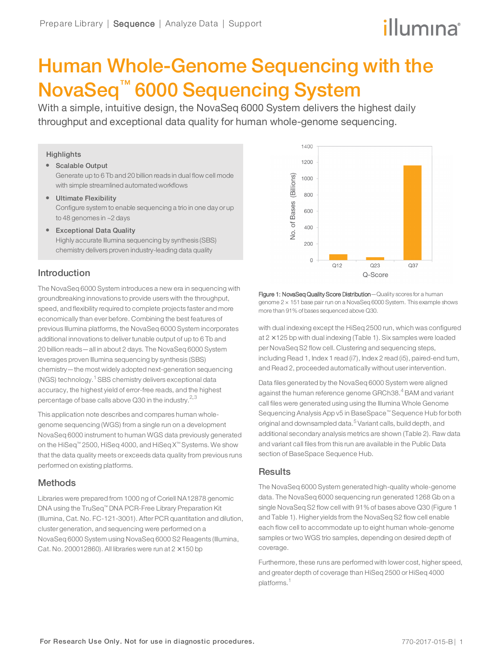# illumina®

# Human Whole-Genome Sequencing with the NovaSeq™ 6000 Sequencing System

With a simple, intuitive design, the NovaSeq 6000 System delivers the highest daily throughput and exceptional data quality for human whole-genome sequencing.

### **Highlights**

- Scalable Output Generate up to 6 Tb and 20 billion reads in dual flow cell mode with simple streamlined automated workflows
- Ultimate Flexibility Configure system to enable sequencing a trio in one day or up to 48 genomes in ~2 days
- **•** Exceptional Data Quality Highly accurate Illumina sequencing by synthesis (SBS) chemistry delivers proven industry-leading data quality

# Introduction

The NovaSeq 6000 System introduces a new era in sequencing with groundbreaking innovations to provide users with the throughput, speed, and flexibility required to complete projects faster and more economically than ever before. Combining the best features of previous Illumina platforms, the NovaSeq 6000 System incorporates additional innovations to deliver tunable output of up to 6 Tb and 20 billion reads—all in about 2 days. The NovaSeq 6000 System leverages proven Illumina sequencing by synthesis (SBS) chemistry—the most widely adopted next-generation sequencing  $(NGS)$  technology.<sup>[1](#page-1-0)</sup> SBS chemistry delivers exceptional data accuracy, the highest yield of error-free reads, and the highest percentage of base calls above Q30 in the industry.<sup>[2](#page-1-1),[3](#page-1-2)</sup>

This application note describes and compares human wholegenome sequencing (WGS) from a single run on a development NovaSeq 6000 instrument to human WGS data previously generated on the HiSeq™ 2500, HiSeq 4000, and HiSeq X™ Systems. We show that the data quality meets or exceeds data quality from previous runs performed on existing platforms.

# **Methods**

Libraries were prepared from 1000 ng of Coriell NA12878 genomic DNA using the TruSeq™ DNA PCR-Free Library Preparation Kit (Illumina, Cat. No. FC-121-3001). After PCR quantitation and dilution, cluster generation, and sequencing were performed on a NovaSeq 6000 System using NovaSeq 6000 S2 Reagents (Illumina, Cat. No. 200012860). All libraries were run at  $2 \times 150$  bp



Figure 1: NovaSeq Quality Score Distribution-Quality scores for a human genome 2 × 151 base pair run on a NovaSeq 6000 System. This example shows more than 91% of bases sequenced above Q30.

with dual indexing except the HiSeq 2500 run, which was configured at  $2 \times 125$  bp with dual indexing (Table 1). Six samples were loaded per NovaSeq S2 flow cell. Clustering and sequencing steps, including Read 1, Index 1 read (i7), Index 2 read (i5), paired-end turn, and Read 2, proceeded automatically without user intervention.

Data files generated by the NovaSeq 6000 System were aligned against the human reference genome GRCh38.<sup>[4](#page-1-3)</sup> BAM and variant call files were generated using using the Illumina Whole Genome Sequencing Analysis App v5 in BaseSpace™ Sequence Hub for both original and downsampled data.<sup>[5](#page-1-4)</sup> Variant calls, build depth, and additional secondary analysis metrics are shown (Table 2). Raw data and variant call files from this run are available in the Public Data section of BaseSpace Sequence Hub.

# **Results**

The NovaSeq 6000 System generated high-quality whole-genome data. The NovaSeq 6000 sequencing run generated 1268 Gb on a single NovaSeq S2 flow cell with 91% of bases above Q30 (Figure 1 and Table 1). Higher yields from the NovaSeq S2 flow cell enable each flow cell to accommodate up to eight human whole-genome samples or two WGS trio samples, depending on desired depth of coverage.

Furthermore, these runs are performed with lower cost, higher speed, and greater depth of coverage than HiSeq 2500 or HiSeq 4000 platforms.<sup>[1](#page-1-0)</sup>